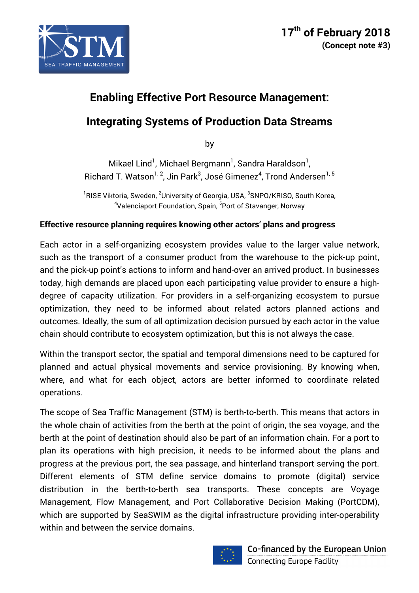

# **Enabling Effective Port Resource Management:**

## **Integrating Systems of Production Data Streams**

by

Mikael Lind<sup>1</sup>, Michael Bergmann<sup>1</sup>, Sandra Haraldson<sup>1</sup>, Richard T. Watson $^{1,\,2}$ , Jin Park $^3$ , José Gimenez $^4$ , Trond Andersen $^{1,\,5}$ 

 $^{\rm 1}$ RISE Viktoria, Sweden,  $^{\rm 2}$ University of Georgia, USA,  $^{\rm 3}$ SNPO/KRISO, South Korea, <sup>4</sup>Valenciaport Foundation, Spain, <sup>5</sup>Port of Stavanger, Norway

## **Effective resource planning requires knowing other actors' plans and progress**

Each actor in a self-organizing ecosystem provides value to the larger value network, such as the transport of a consumer product from the warehouse to the pick-up point, and the pick-up point's actions to inform and hand-over an arrived product. In businesses today, high demands are placed upon each participating value provider to ensure a highdegree of capacity utilization. For providers in a self-organizing ecosystem to pursue optimization, they need to be informed about related actors planned actions and outcomes. Ideally, the sum of all optimization decision pursued by each actor in the value chain should contribute to ecosystem optimization, but this is not always the case.

Within the transport sector, the spatial and temporal dimensions need to be captured for planned and actual physical movements and service provisioning. By knowing when, where, and what for each object, actors are better informed to coordinate related operations.

The scope of Sea Traffic Management (STM) is berth-to-berth. This means that actors in the whole chain of activities from the berth at the point of origin, the sea voyage, and the berth at the point of destination should also be part of an information chain. For a port to plan its operations with high precision, it needs to be informed about the plans and progress at the previous port, the sea passage, and hinterland transport serving the port. Different elements of STM define service domains to promote (digital) service distribution in the berth-to-berth sea transports. These concepts are Voyage Management, Flow Management, and Port Collaborative Decision Making (PortCDM), which are supported by SeaSWIM as the digital infrastructure providing inter-operability within and between the service domains.

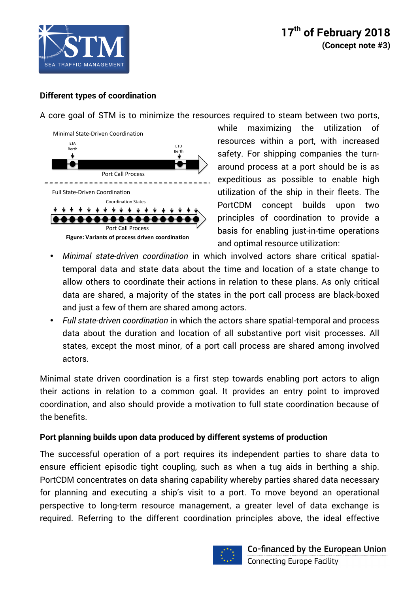

## **Different types of coordination**

A core goal of STM is to minimize the resources required to steam between two ports,



while maximizing the utilization of resources within a port, with increased safety. For shipping companies the turnaround process at a port should be is as expeditious as possible to enable high utilization of the ship in their fleets. The PortCDM concept builds upon two principles of coordination to provide a basis for enabling just-in-time operations and optimal resource utilization:

- *Minimal state-driven coordination* in which involved actors share critical spatialtemporal data and state data about the time and location of a state change to allow others to coordinate their actions in relation to these plans. As only critical data are shared, a majority of the states in the port call process are black-boxed and just a few of them are shared among actors.
- *Full state-driven coordination* in which the actors share spatial-temporal and process data about the duration and location of all substantive port visit processes. All states, except the most minor, of a port call process are shared among involved actors.

Minimal state driven coordination is a first step towards enabling port actors to align their actions in relation to a common goal. It provides an entry point to improved coordination, and also should provide a motivation to full state coordination because of the benefits.

#### **Port planning builds upon data produced by different systems of production**

The successful operation of a port requires its independent parties to share data to ensure efficient episodic tight coupling, such as when a tug aids in berthing a ship. PortCDM concentrates on data sharing capability whereby parties shared data necessary for planning and executing a ship's visit to a port. To move beyond an operational perspective to long-term resource management, a greater level of data exchange is required. Referring to the different coordination principles above, the ideal effective

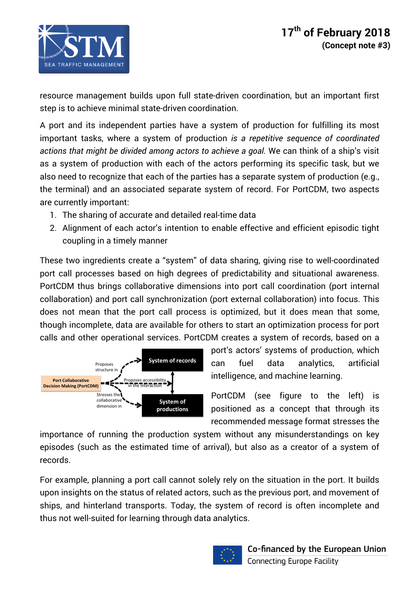

resource management builds upon full state-driven coordination, but an important first step is to achieve minimal state-driven coordination.

A port and its independent parties have a system of production for fulfilling its most important tasks, where a system of production *is a repetitive sequence of coordinated actions that might be divided among actors to achieve a goal.* We can think of a ship's visit as a system of production with each of the actors performing its specific task, but we also need to recognize that each of the parties has a separate system of production (e.g., the terminal) and an associated separate system of record. For PortCDM, two aspects are currently important:

- 1. The sharing of accurate and detailed real-time data
- 2. Alignment of each actor's intention to enable effective and efficient episodic tight coupling in a timely manner

These two ingredients create a "system" of data sharing, giving rise to well-coordinated port call processes based on high degrees of predictability and situational awareness. PortCDM thus brings collaborative dimensions into port call coordination (port internal collaboration) and port call synchronization (port external collaboration) into focus. This does not mean that the port call process is optimized, but it does mean that some, though incomplete, data are available for others to start an optimization process for port calls and other operational services. PortCDM creates a system of records, based on a



port's actors' systems of production, which can fuel data analytics, artificial intelligence, and machine learning.

PortCDM (see figure to the left) is positioned as a concept that through its recommended message format stresses the

importance of running the production system without any misunderstandings on key episodes (such as the estimated time of arrival), but also as a creator of a system of records.

For example, planning a port call cannot solely rely on the situation in the port. It builds upon insights on the status of related actors, such as the previous port, and movement of ships, and hinterland transports. Today, the system of record is often incomplete and thus not well-suited for learning through data analytics.

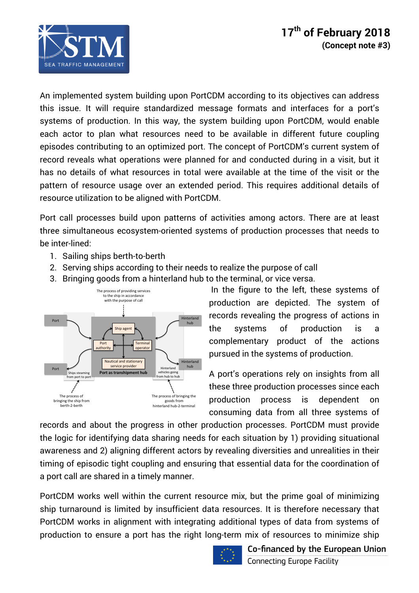

An implemented system building upon PortCDM according to its objectives can address this issue. It will require standardized message formats and interfaces for a port's systems of production. In this way, the system building upon PortCDM, would enable each actor to plan what resources need to be available in different future coupling episodes contributing to an optimized port. The concept of PortCDM's current system of record reveals what operations were planned for and conducted during in a visit, but it has no details of what resources in total were available at the time of the visit or the pattern of resource usage over an extended period. This requires additional details of resource utilization to be aligned with PortCDM.

Port call processes build upon patterns of activities among actors. There are at least three simultaneous ecosystem-oriented systems of production processes that needs to be inter-lined:

- 1. Sailing ships berth-to-berth
- 2. Serving ships according to their needs to realize the purpose of call
- 3. Bringing goods from a hinterland hub to the terminal, or vice versa.



In the figure to the left, these systems of production are depicted. The system of records revealing the progress of actions in the systems of production is a complementary product of the actions pursued in the systems of production.

A port's operations rely on insights from all these three production processes since each production process is dependent on consuming data from all three systems of

records and about the progress in other production processes. PortCDM must provide the logic for identifying data sharing needs for each situation by 1) providing situational awareness and 2) aligning different actors by revealing diversities and unrealities in their timing of episodic tight coupling and ensuring that essential data for the coordination of a port call are shared in a timely manner.

PortCDM works well within the current resource mix, but the prime goal of minimizing ship turnaround is limited by insufficient data resources. It is therefore necessary that PortCDM works in alignment with integrating additional types of data from systems of production to ensure a port has the right long-term mix of resources to minimize ship



Co-financed by the European Union **Connecting Europe Facility**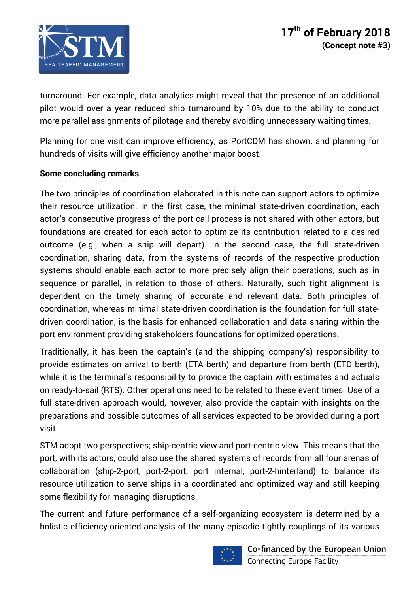

turnaround. For example, data analytics might reveal that the presence of an additional pilot would over a year reduced ship turnaround by 10% due to the ability to conduct more parallel assignments of pilotage and thereby avoiding unnecessary waiting times.

Planning for one visit can improve efficiency, as PortCDM has shown, and planning for hundreds of visits will give efficiency another major boost.

### **Some concluding remarks**

The two principles of coordination elaborated in this note can support actors to optimize their resource utilization. In the first case, the minimal state-driven coordination, each actor's consecutive progress of the port call process is not shared with other actors, but foundations are created for each actor to optimize its contribution related to a desired outcome (e.g., when a ship will depart). In the second case, the full state-driven coordination, sharing data, from the systems of records of the respective production systems should enable each actor to more precisely align their operations, such as in sequence or parallel, in relation to those of others. Naturally, such tight alignment is dependent on the timely sharing of accurate and relevant data. Both principles of coordination, whereas minimal state-driven coordination is the foundation for full statedriven coordination, is the basis for enhanced collaboration and data sharing within the port environment providing stakeholders foundations for optimized operations.

Traditionally, it has been the captain's (and the shipping company's) responsibility to provide estimates on arrival to berth (ETA berth) and departure from berth (ETD berth), while it is the terminal's responsibility to provide the captain with estimates and actuals on ready-to-sail (RTS). Other operations need to be related to these event times. Use of a full state-driven approach would, however, also provide the captain with insights on the preparations and possible outcomes of all services expected to be provided during a port visit.

STM adopt two perspectives; ship-centric view and port-centric view. This means that the port, with its actors, could also use the shared systems of records from all four arenas of collaboration (ship-2-port, port-2-port, port internal, port-2-hinterland) to balance its resource utilization to serve ships in a coordinated and optimized way and still keeping some flexibility for managing disruptions.

The current and future performance of a self-organizing ecosystem is determined by a holistic efficiency-oriented analysis of the many episodic tightly couplings of its various



Co-financed by the European Union **Connecting Europe Facility**